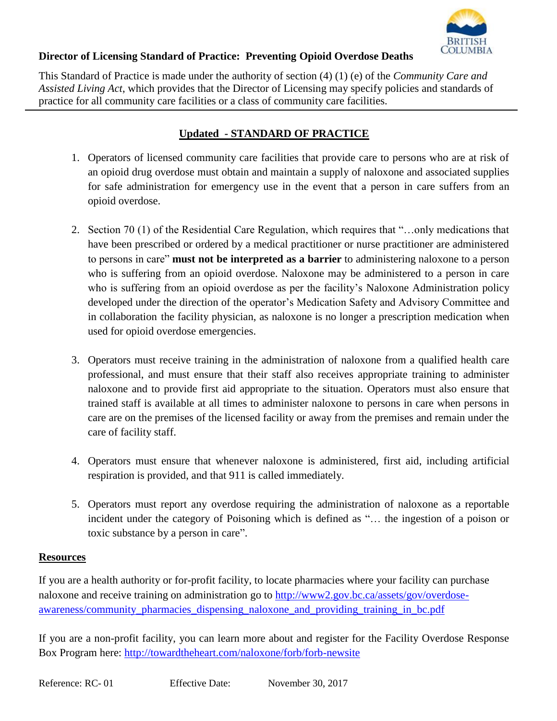

## **Director of Licensing Standard of Practice: Preventing Opioid Overdose Deaths**

This Standard of Practice is made under the authority of section (4) (1) (e) of the *Community Care and Assisted Living Act*, which provides that the Director of Licensing may specify policies and standards of practice for all community care facilities or a class of community care facilities.

## **Updated - STANDARD OF PRACTICE**

- 1. Operators of licensed community care facilities that provide care to persons who are at risk of an opioid drug overdose must obtain and maintain a supply of naloxone and associated supplies for safe administration for emergency use in the event that a person in care suffers from an opioid overdose.
- 2. Section 70 (1) of the Residential Care Regulation, which requires that "…only medications that have been prescribed or ordered by a medical practitioner or nurse practitioner are administered to persons in care" **must not be interpreted as a barrier** to administering naloxone to a person who is suffering from an opioid overdose. Naloxone may be administered to a person in care who is suffering from an opioid overdose as per the facility's Naloxone Administration policy developed under the direction of the operator's Medication Safety and Advisory Committee and in collaboration the facility physician, as naloxone is no longer a prescription medication when used for opioid overdose emergencies.
- 3. Operators must receive training in the administration of naloxone from a qualified health care professional, and must ensure that their staff also receives appropriate training to administer naloxone and to provide first aid appropriate to the situation. Operators must also ensure that trained staff is available at all times to administer naloxone to persons in care when persons in care are on the premises of the licensed facility or away from the premises and remain under the care of facility staff.
- 4. Operators must ensure that whenever naloxone is administered, first aid, including artificial respiration is provided, and that 911 is called immediately.
- 5. Operators must report any overdose requiring the administration of naloxone as a reportable incident under the category of Poisoning which is defined as "… the ingestion of a poison or toxic substance by a person in care".

## **Resources**

If you are a health authority or for-profit facility, to locate pharmacies where your facility can purchase naloxone and receive training on administration go to [http://www2.gov.bc.ca/assets/gov/overdose](http://www2.gov.bc.ca/assets/gov/overdose-awareness/community_pharmacies_dispensing_naloxone_and_providing_training_in_bc.pdf)[awareness/community\\_pharmacies\\_dispensing\\_naloxone\\_and\\_providing\\_training\\_in\\_bc.pdf](http://www2.gov.bc.ca/assets/gov/overdose-awareness/community_pharmacies_dispensing_naloxone_and_providing_training_in_bc.pdf)

If you are a non-profit facility, you can learn more about and register for the Facility Overdose Response Box Program here:<http://towardtheheart.com/naloxone/forb/forb-newsite>